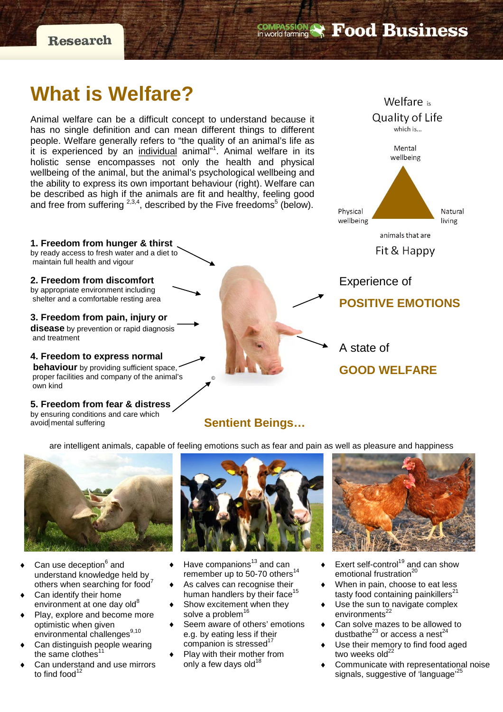**Research** 

## **COMPASSION & Food Business**

# **What is Welfare?**

Animal welfare can be a difficult concept to understand because it has no single definition and can mean different things to different people. Welfare generally refers to "the quality of an animal's life as it is experienced by an <u>individual</u> animal"<sup>1</sup>. Animal welfare in its holistic sense encompasses not only the health and physical wellbeing of the animal, but the animal's psychological wellbeing and the ability to express its own important behaviour (right). Welfare can be described as high if the animals are fit and healthy, feeling good and free from suffering  $^{2,3,4}$ , described by the Five freedoms $^{5}$  (below).

**1. Freedom from hunger & thirst** by ready access to fresh water and a diet to maintain full health and vigour

**2. Freedom from discomfort** by appropriate environment including shelter and a comfortable resting area

**3. Freedom from pain, injury or disease** by prevention or rapid diagnosis and treatment

**4. Freedom to express normal behaviour** by providing sufficient space, proper facilities and company of the animal's own kind

**5. Freedom from fear & distress** by ensuring conditions and care which avoid mental suffering



A state of

## **GOOD WELFARE**

## **Sentient Beings…**

are intelligent animals, capable of feeling emotions such as fear and pain as well as pleasure and happiness

©



- Can use deception<sup>6</sup> and understand knowledge held by others when searching for food<sup>7</sup>
- Can identify their home environment at one day old<sup>8</sup>
- Play, explore and become more optimistic when given environmental challenges<sup>9,10</sup>
- Can distinguish people wearing the same clothes<sup>11</sup>
- Can understand and use mirrors to find food $12$



- Have companions $13$  and can remember up to 50-70 others<sup>14</sup>
- As calves can recognise their human handlers by their face<sup>1</sup>
- Show excitement when they solve a problem<sup>16</sup>
- Seem aware of others' emotions e.g. by eating less if their companion is stressed<sup>17</sup>
- Play with their mother from only a few days old $18$



- Exert self-control<sup>19</sup> and can show emotional frustration<sup>20</sup>
- **When in pain, choose to eat less** tasty food containing painkillers $2$
- Use the sun to navigate complex environments<sup>22</sup>
- Can solve mazes to be allowed to dustbathe $^{23}$  or access a nest<sup>24</sup>
- Use their memory to find food aged two weeks  $old^{22}$
- Communicate with representational noise signals, suggestive of 'language'<sup>2</sup>